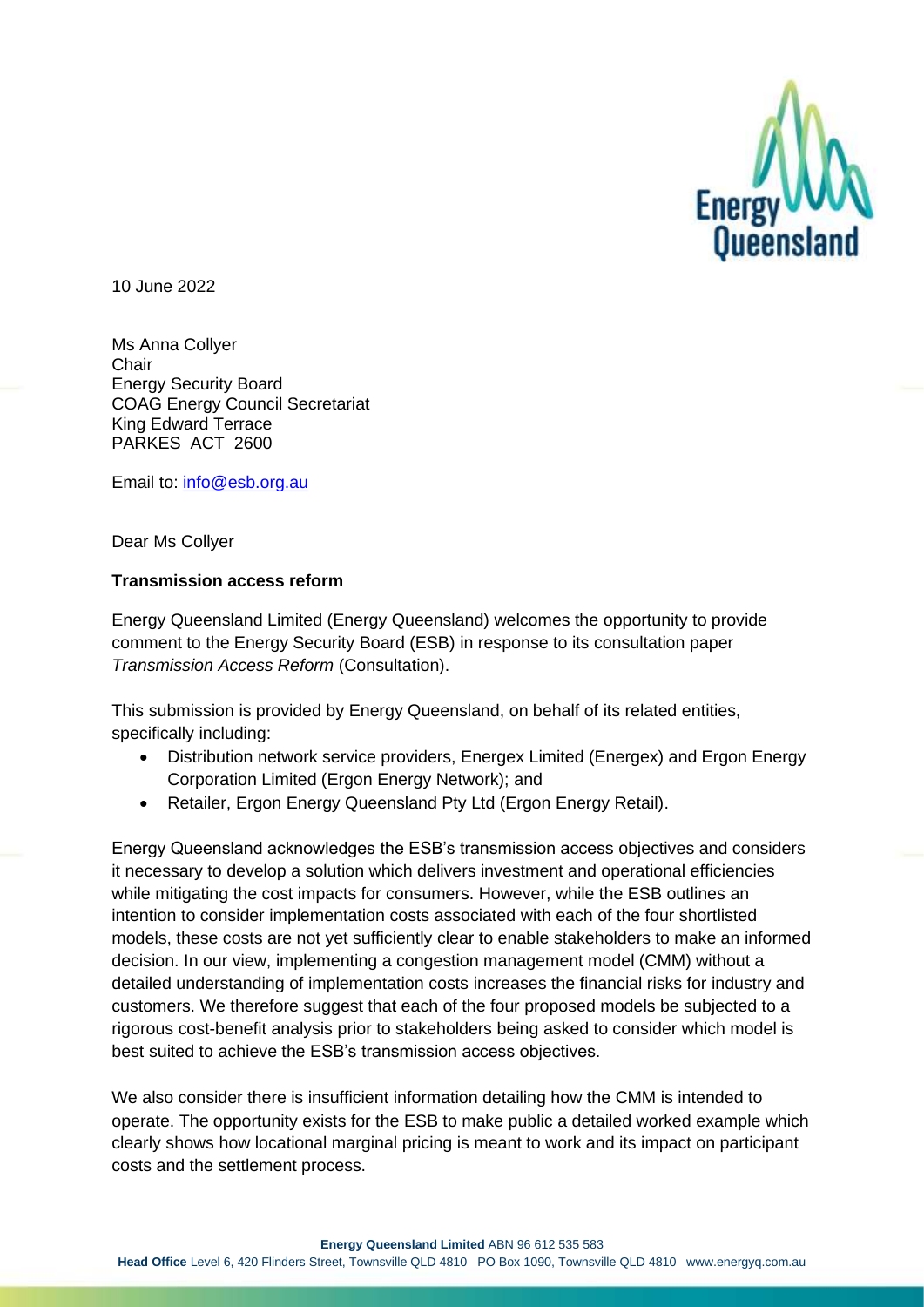

10 June 2022

Ms Anna Collyer **Chair** Energy Security Board COAG Energy Council Secretariat King Edward Terrace PARKES ACT 2600

Email to: [info@esb.org.au](mailto:info@esb.org.au)

Dear Ms Collyer

## **Transmission access reform**

Energy Queensland Limited (Energy Queensland) welcomes the opportunity to provide comment to the Energy Security Board (ESB) in response to its consultation paper *Transmission Access Reform* (Consultation).

This submission is provided by Energy Queensland, on behalf of its related entities, specifically including:

- Distribution network service providers, Energex Limited (Energex) and Ergon Energy Corporation Limited (Ergon Energy Network); and
- Retailer, Ergon Energy Queensland Pty Ltd (Ergon Energy Retail).

Energy Queensland acknowledges the ESB's transmission access objectives and considers it necessary to develop a solution which delivers investment and operational efficiencies while mitigating the cost impacts for consumers. However, while the ESB outlines an intention to consider implementation costs associated with each of the four shortlisted models, these costs are not yet sufficiently clear to enable stakeholders to make an informed decision. In our view, implementing a congestion management model (CMM) without a detailed understanding of implementation costs increases the financial risks for industry and customers. We therefore suggest that each of the four proposed models be subjected to a rigorous cost-benefit analysis prior to stakeholders being asked to consider which model is best suited to achieve the ESB's transmission access objectives.

We also consider there is insufficient information detailing how the CMM is intended to operate. The opportunity exists for the ESB to make public a detailed worked example which clearly shows how locational marginal pricing is meant to work and its impact on participant costs and the settlement process.